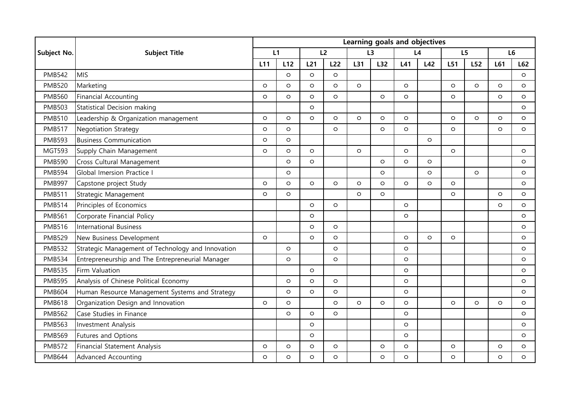|               | <b>Subject Title</b>                              | Learning goals and objectives |         |                 |         |         |         |         |         |         |         |                |         |
|---------------|---------------------------------------------------|-------------------------------|---------|-----------------|---------|---------|---------|---------|---------|---------|---------|----------------|---------|
| Subject No.   |                                                   | L1                            |         | L2              |         | L3      |         | L4      |         | L5      |         | L <sub>6</sub> |         |
|               |                                                   | L11                           | L12     | L <sub>21</sub> | L22     | L31     | L32     | L41     | L42     | L51     | L52     | L61            | L62     |
| <b>PMB542</b> | <b>MIS</b>                                        |                               | $\circ$ | $\circ$         | $\circ$ |         |         |         |         |         |         |                | $\circ$ |
| <b>PMB520</b> | Marketing                                         | $\circ$                       | $\circ$ | $\circ$         | $\circ$ | $\circ$ |         | $\circ$ |         | $\circ$ | $\circ$ | $\circ$        | $\circ$ |
| <b>PMB560</b> | <b>Financial Accounting</b>                       | $\circ$                       | $\circ$ | $\circ$         | $\circ$ |         | $\circ$ | $\circ$ |         | $\circ$ |         | $\circ$        | $\circ$ |
| <b>PMB503</b> | <b>Statistical Decision making</b>                |                               |         | $\circ$         |         |         |         |         |         |         |         |                | $\circ$ |
| <b>PMB510</b> | Leadership & Organization management              | $\circ$                       | $\circ$ | $\circ$         | $\circ$ | $\circ$ | $\circ$ | $\circ$ |         | $\circ$ | $\circ$ | $\circ$        | $\circ$ |
| <b>PMB517</b> | <b>Negotiation Strategy</b>                       | $\circ$                       | $\circ$ |                 | $\circ$ |         | $\circ$ | $\circ$ |         | $\circ$ |         | $\circ$        | $\circ$ |
| <b>PMB593</b> | <b>Business Communication</b>                     | $\circ$                       | $\circ$ |                 |         |         |         |         | $\circ$ |         |         |                |         |
| <b>MGT593</b> | Supply Chain Management                           | $\circ$                       | $\circ$ | $\circ$         |         | O       |         | $\circ$ |         | $\circ$ |         |                | $\circ$ |
| <b>PMB590</b> | Cross Cultural Management                         |                               | $\circ$ | $\circ$         |         |         | $\circ$ | $\circ$ | $\circ$ |         |         |                | $\circ$ |
| <b>PMB594</b> | Global Imersion Practice I                        |                               | $\circ$ |                 |         |         | O       |         | $\circ$ |         | $\circ$ |                | $\circ$ |
| <b>PMB997</b> | Capstone project Study                            | $\circ$                       | $\circ$ | $\circ$         | $\circ$ | O       | O       | $\circ$ | $\circ$ | $\circ$ |         |                | $\circ$ |
| <b>PMB511</b> | Strategic Management                              | O                             | $\circ$ |                 |         | O       | O       |         |         | $\circ$ |         | $\circ$        | $\circ$ |
| <b>PMB514</b> | Principles of Economics                           |                               |         | $\circ$         | $\circ$ |         |         | $\circ$ |         |         |         | $\circ$        | $\circ$ |
| <b>PMB561</b> | Corporate Financial Policy                        |                               |         | $\circ$         |         |         |         | $\circ$ |         |         |         |                | $\circ$ |
| <b>PMB516</b> | <b>International Business</b>                     |                               |         | $\circ$         | $\circ$ |         |         |         |         |         |         |                | $\circ$ |
| <b>PMB529</b> | New Business Development                          | $\circ$                       |         | $\circ$         | $\circ$ |         |         | $\circ$ | $\circ$ | $\circ$ |         |                | $\circ$ |
| <b>PMB532</b> | Strategic Management of Technology and Innovation |                               | $\circ$ |                 | $\circ$ |         |         | $\circ$ |         |         |         |                | $\circ$ |
| <b>PMB534</b> | Entrepreneurship and The Entrepreneurial Manager  |                               | $\circ$ |                 | $\circ$ |         |         | $\circ$ |         |         |         |                | $\circ$ |
| <b>PMB535</b> | Firm Valuation                                    |                               |         | $\circ$         |         |         |         | $\circ$ |         |         |         |                | $\circ$ |
| <b>PMB595</b> | Analysis of Chinese Political Economy             |                               | $\circ$ | $\circ$         | $\circ$ |         |         | $\circ$ |         |         |         |                | $\circ$ |
| <b>PMB604</b> | Human Resource Management Systems and Strategy    |                               | $\circ$ | $\circ$         | $\circ$ |         |         | $\circ$ |         |         |         |                | $\circ$ |
| <b>PMB618</b> | Organization Design and Innovation                | $\circ$                       | $\circ$ |                 | $\circ$ | O       | O       | $\circ$ |         | $\circ$ | $\circ$ | $\circ$        | $\circ$ |
| <b>PMB562</b> | Case Studies in Finance                           |                               | $\circ$ | $\circ$         | $\circ$ |         |         | $\circ$ |         |         |         |                | $\circ$ |
| <b>PMB563</b> | <b>Investment Analysis</b>                        |                               |         | $\circ$         |         |         |         | $\circ$ |         |         |         |                | $\circ$ |
| <b>PMB569</b> | Futures and Options                               |                               |         | $\circ$         |         |         |         | $\circ$ |         |         |         |                | $\circ$ |
| <b>PMB572</b> | <b>Financial Statement Analysis</b>               | $\circ$                       | $\circ$ | O               | $\circ$ |         | $\circ$ | $\circ$ |         | $\circ$ |         | O              | $\circ$ |
| <b>PMB644</b> | <b>Advanced Accounting</b>                        | $\circ$                       | $\circ$ | $\circ$         | $\circ$ |         | O       | $\circ$ |         | $\circ$ |         | $\circ$        | $\circ$ |